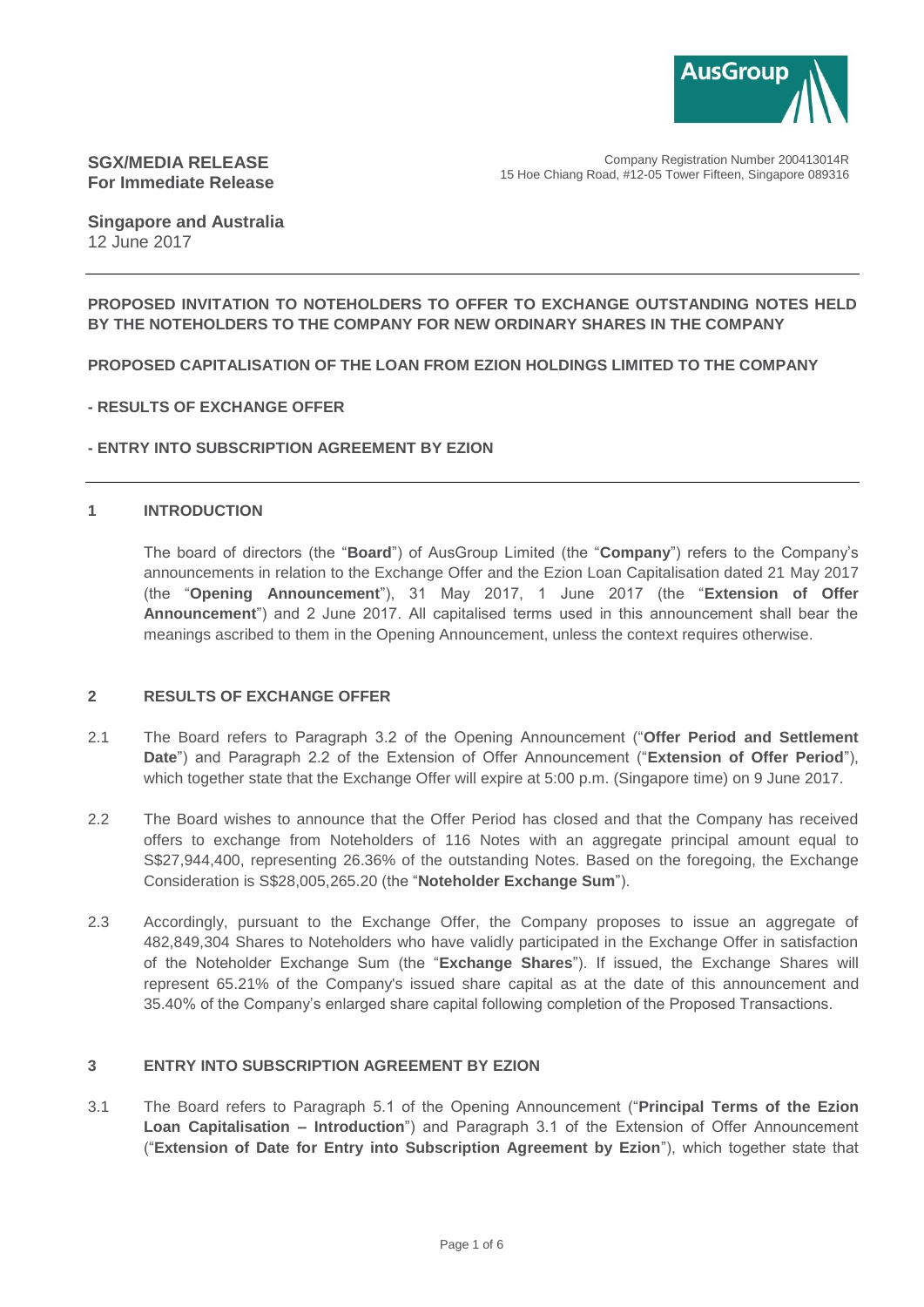

Company Registration Number 200413014R 15 Hoe Chiang Road, #12-05 Tower Fifteen, Singapore 089316

## **SGX/MEDIA RELEASE For Immediate Release**

**Singapore and Australia** 12 June 2017

### **PROPOSED INVITATION TO NOTEHOLDERS TO OFFER TO EXCHANGE OUTSTANDING NOTES HELD BY THE NOTEHOLDERS TO THE COMPANY FOR NEW ORDINARY SHARES IN THE COMPANY**

### **PROPOSED CAPITALISATION OF THE LOAN FROM EZION HOLDINGS LIMITED TO THE COMPANY**

### **- RESULTS OF EXCHANGE OFFER**

### **- ENTRY INTO SUBSCRIPTION AGREEMENT BY EZION**

### **1 INTRODUCTION**

The board of directors (the "**Board**") of AusGroup Limited (the "**Company**") refers to the Company's announcements in relation to the Exchange Offer and the Ezion Loan Capitalisation dated 21 May 2017 (the "**Opening Announcement**"), 31 May 2017, 1 June 2017 (the "**Extension of Offer Announcement**") and 2 June 2017. All capitalised terms used in this announcement shall bear the meanings ascribed to them in the Opening Announcement, unless the context requires otherwise.

#### **2 RESULTS OF EXCHANGE OFFER**

- 2.1 The Board refers to Paragraph 3.2 of the Opening Announcement ("**Offer Period and Settlement Date**") and Paragraph 2.2 of the Extension of Offer Announcement ("**Extension of Offer Period**"), which together state that the Exchange Offer will expire at 5:00 p.m. (Singapore time) on 9 June 2017.
- 2.2 The Board wishes to announce that the Offer Period has closed and that the Company has received offers to exchange from Noteholders of 116 Notes with an aggregate principal amount equal to S\$27,944,400, representing 26.36% of the outstanding Notes. Based on the foregoing, the Exchange Consideration is S\$28,005,265.20 (the "**Noteholder Exchange Sum**").
- 2.3 Accordingly, pursuant to the Exchange Offer, the Company proposes to issue an aggregate of 482,849,304 Shares to Noteholders who have validly participated in the Exchange Offer in satisfaction of the Noteholder Exchange Sum (the "**Exchange Shares**"). If issued, the Exchange Shares will represent 65.21% of the Company's issued share capital as at the date of this announcement and 35.40% of the Company's enlarged share capital following completion of the Proposed Transactions.

#### **3 ENTRY INTO SUBSCRIPTION AGREEMENT BY EZION**

3.1 The Board refers to Paragraph 5.1 of the Opening Announcement ("**Principal Terms of the Ezion Loan Capitalisation – Introduction**") and Paragraph 3.1 of the Extension of Offer Announcement ("**Extension of Date for Entry into Subscription Agreement by Ezion**"), which together state that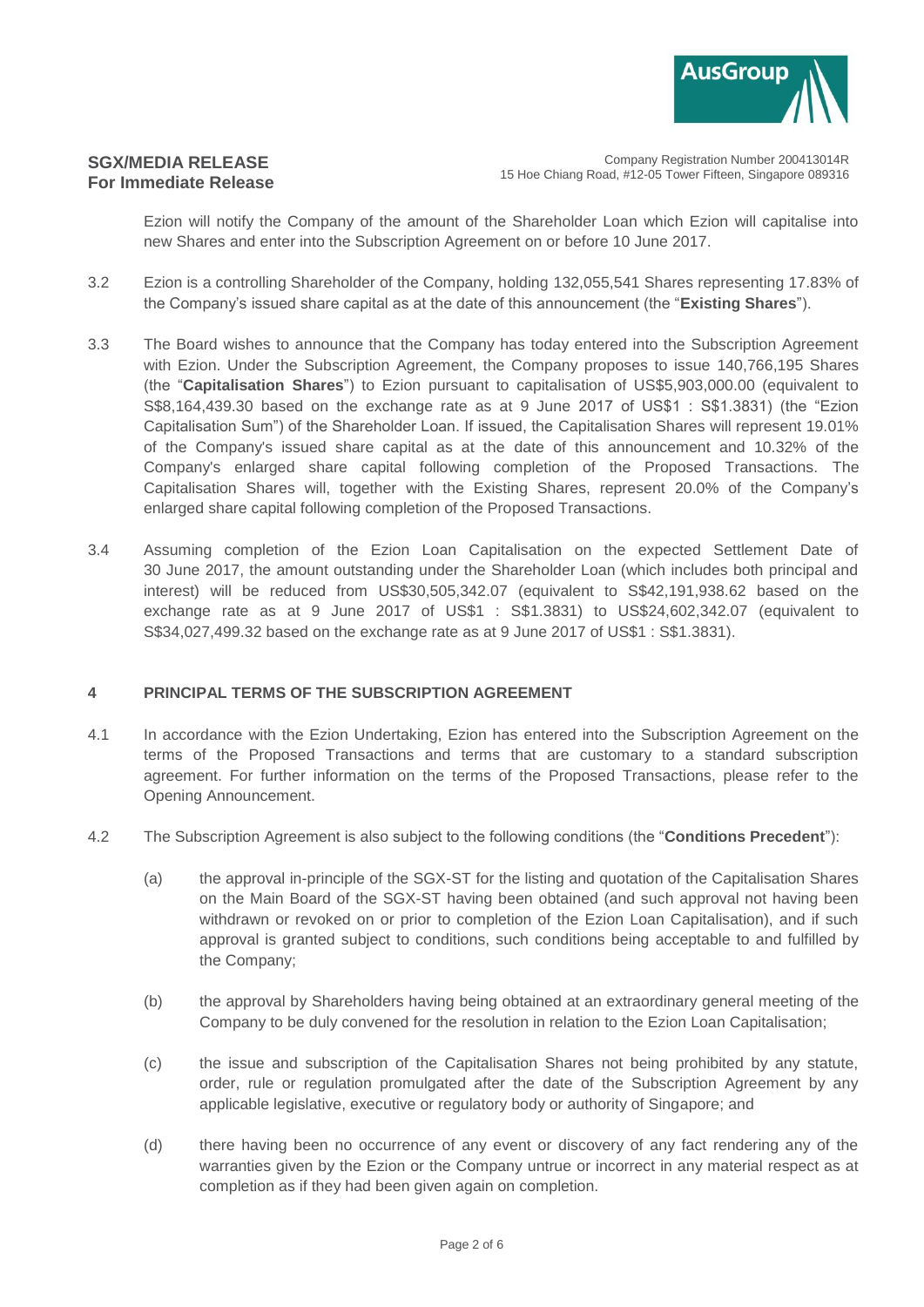

Company Registration Number 200413014R 15 Hoe Chiang Road, #12-05 Tower Fifteen, Singapore 089316

Ezion will notify the Company of the amount of the Shareholder Loan which Ezion will capitalise into new Shares and enter into the Subscription Agreement on or before 10 June 2017.

- 3.2 Ezion is a controlling Shareholder of the Company, holding 132,055,541 Shares representing 17.83% of the Company's issued share capital as at the date of this announcement (the "**Existing Shares**").
- 3.3 The Board wishes to announce that the Company has today entered into the Subscription Agreement with Ezion. Under the Subscription Agreement, the Company proposes to issue 140,766,195 Shares (the "**Capitalisation Shares**") to Ezion pursuant to capitalisation of US\$5,903,000.00 (equivalent to S\$8,164,439.30 based on the exchange rate as at 9 June 2017 of US\$1 : S\$1.3831) (the "Ezion Capitalisation Sum") of the Shareholder Loan. If issued, the Capitalisation Shares will represent 19.01% of the Company's issued share capital as at the date of this announcement and 10.32% of the Company's enlarged share capital following completion of the Proposed Transactions. The Capitalisation Shares will, together with the Existing Shares, represent 20.0% of the Company's enlarged share capital following completion of the Proposed Transactions.
- 3.4 Assuming completion of the Ezion Loan Capitalisation on the expected Settlement Date of 30 June 2017, the amount outstanding under the Shareholder Loan (which includes both principal and interest) will be reduced from US\$30,505,342.07 (equivalent to S\$42,191,938.62 based on the exchange rate as at 9 June 2017 of US\$1 : S\$1.3831) to US\$24,602,342.07 (equivalent to S\$34,027,499.32 based on the exchange rate as at 9 June 2017 of US\$1 : S\$1.3831).

### **4 PRINCIPAL TERMS OF THE SUBSCRIPTION AGREEMENT**

- 4.1 In accordance with the Ezion Undertaking, Ezion has entered into the Subscription Agreement on the terms of the Proposed Transactions and terms that are customary to a standard subscription agreement. For further information on the terms of the Proposed Transactions, please refer to the Opening Announcement.
- 4.2 The Subscription Agreement is also subject to the following conditions (the "**Conditions Precedent**"):
	- (a) the approval in-principle of the SGX-ST for the listing and quotation of the Capitalisation Shares on the Main Board of the SGX-ST having been obtained (and such approval not having been withdrawn or revoked on or prior to completion of the Ezion Loan Capitalisation), and if such approval is granted subject to conditions, such conditions being acceptable to and fulfilled by the Company;
	- (b) the approval by Shareholders having being obtained at an extraordinary general meeting of the Company to be duly convened for the resolution in relation to the Ezion Loan Capitalisation;
	- (c) the issue and subscription of the Capitalisation Shares not being prohibited by any statute, order, rule or regulation promulgated after the date of the Subscription Agreement by any applicable legislative, executive or regulatory body or authority of Singapore; and
	- (d) there having been no occurrence of any event or discovery of any fact rendering any of the warranties given by the Ezion or the Company untrue or incorrect in any material respect as at completion as if they had been given again on completion.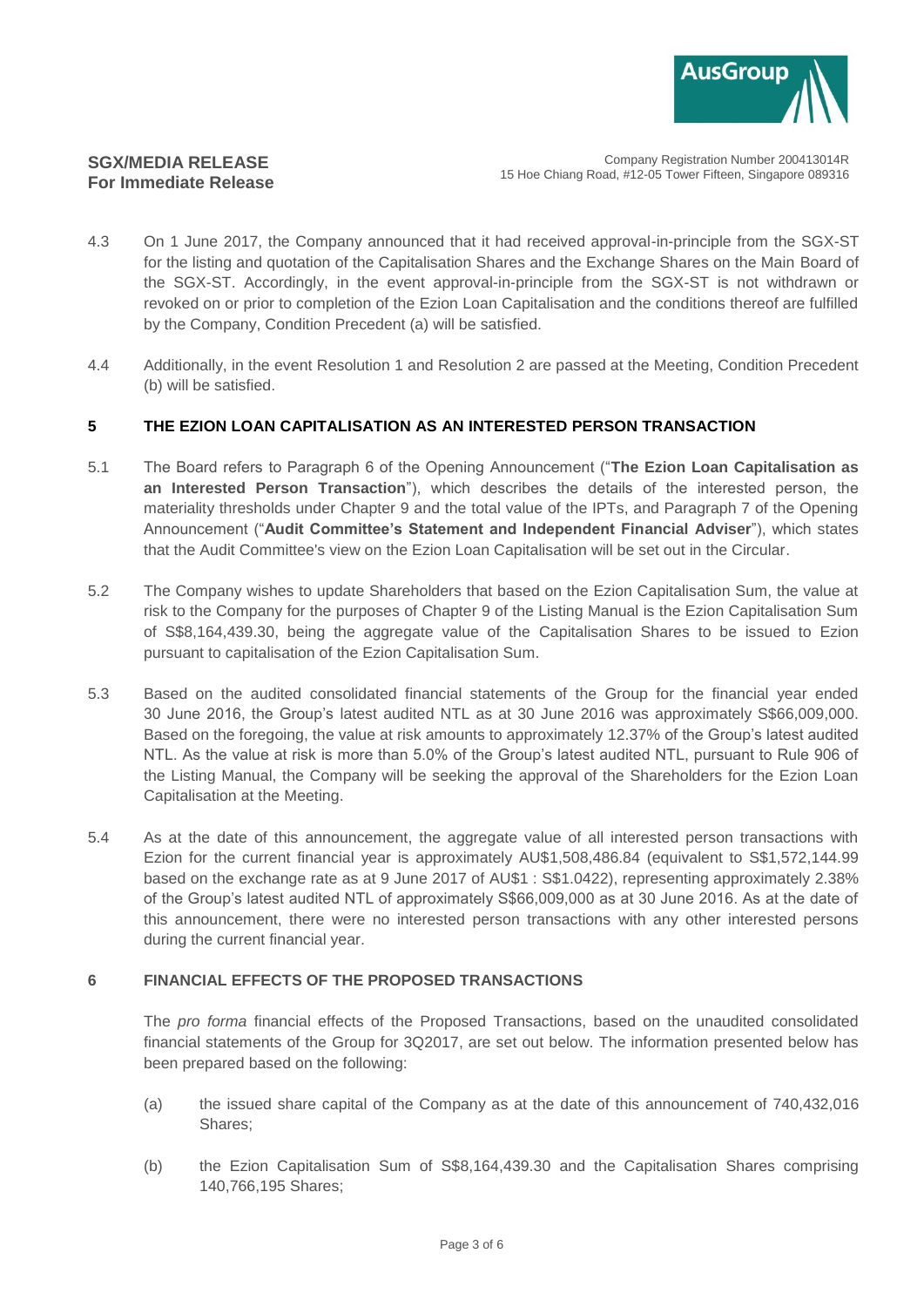

Company Registration Number 200413014R 15 Hoe Chiang Road, #12-05 Tower Fifteen, Singapore 089316

- 4.3 On 1 June 2017, the Company announced that it had received approval-in-principle from the SGX-ST for the listing and quotation of the Capitalisation Shares and the Exchange Shares on the Main Board of the SGX-ST. Accordingly, in the event approval-in-principle from the SGX-ST is not withdrawn or revoked on or prior to completion of the Ezion Loan Capitalisation and the conditions thereof are fulfilled by the Company, Condition Precedent (a) will be satisfied.
- 4.4 Additionally, in the event Resolution 1 and Resolution 2 are passed at the Meeting, Condition Precedent (b) will be satisfied.

## **5 THE EZION LOAN CAPITALISATION AS AN INTERESTED PERSON TRANSACTION**

- 5.1 The Board refers to Paragraph 6 of the Opening Announcement ("**The Ezion Loan Capitalisation as an Interested Person Transaction**"), which describes the details of the interested person, the materiality thresholds under Chapter 9 and the total value of the IPTs, and Paragraph 7 of the Opening Announcement ("**Audit Committee's Statement and Independent Financial Adviser**"), which states that the Audit Committee's view on the Ezion Loan Capitalisation will be set out in the Circular.
- 5.2 The Company wishes to update Shareholders that based on the Ezion Capitalisation Sum, the value at risk to the Company for the purposes of Chapter 9 of the Listing Manual is the Ezion Capitalisation Sum of S\$8,164,439.30, being the aggregate value of the Capitalisation Shares to be issued to Ezion pursuant to capitalisation of the Ezion Capitalisation Sum.
- 5.3 Based on the audited consolidated financial statements of the Group for the financial year ended 30 June 2016, the Group's latest audited NTL as at 30 June 2016 was approximately S\$66,009,000. Based on the foregoing, the value at risk amounts to approximately 12.37% of the Group's latest audited NTL. As the value at risk is more than 5.0% of the Group's latest audited NTL, pursuant to Rule 906 of the Listing Manual, the Company will be seeking the approval of the Shareholders for the Ezion Loan Capitalisation at the Meeting.
- 5.4 As at the date of this announcement, the aggregate value of all interested person transactions with Ezion for the current financial year is approximately AU\$1,508,486.84 (equivalent to S\$1,572,144.99 based on the exchange rate as at 9 June 2017 of AU\$1 : S\$1.0422), representing approximately 2.38% of the Group's latest audited NTL of approximately S\$66,009,000 as at 30 June 2016. As at the date of this announcement, there were no interested person transactions with any other interested persons during the current financial year.

### **6 FINANCIAL EFFECTS OF THE PROPOSED TRANSACTIONS**

The *pro forma* financial effects of the Proposed Transactions, based on the unaudited consolidated financial statements of the Group for 3Q2017, are set out below. The information presented below has been prepared based on the following:

- (a) the issued share capital of the Company as at the date of this announcement of 740,432,016 Shares;
- (b) the Ezion Capitalisation Sum of S\$8,164,439.30 and the Capitalisation Shares comprising 140,766,195 Shares;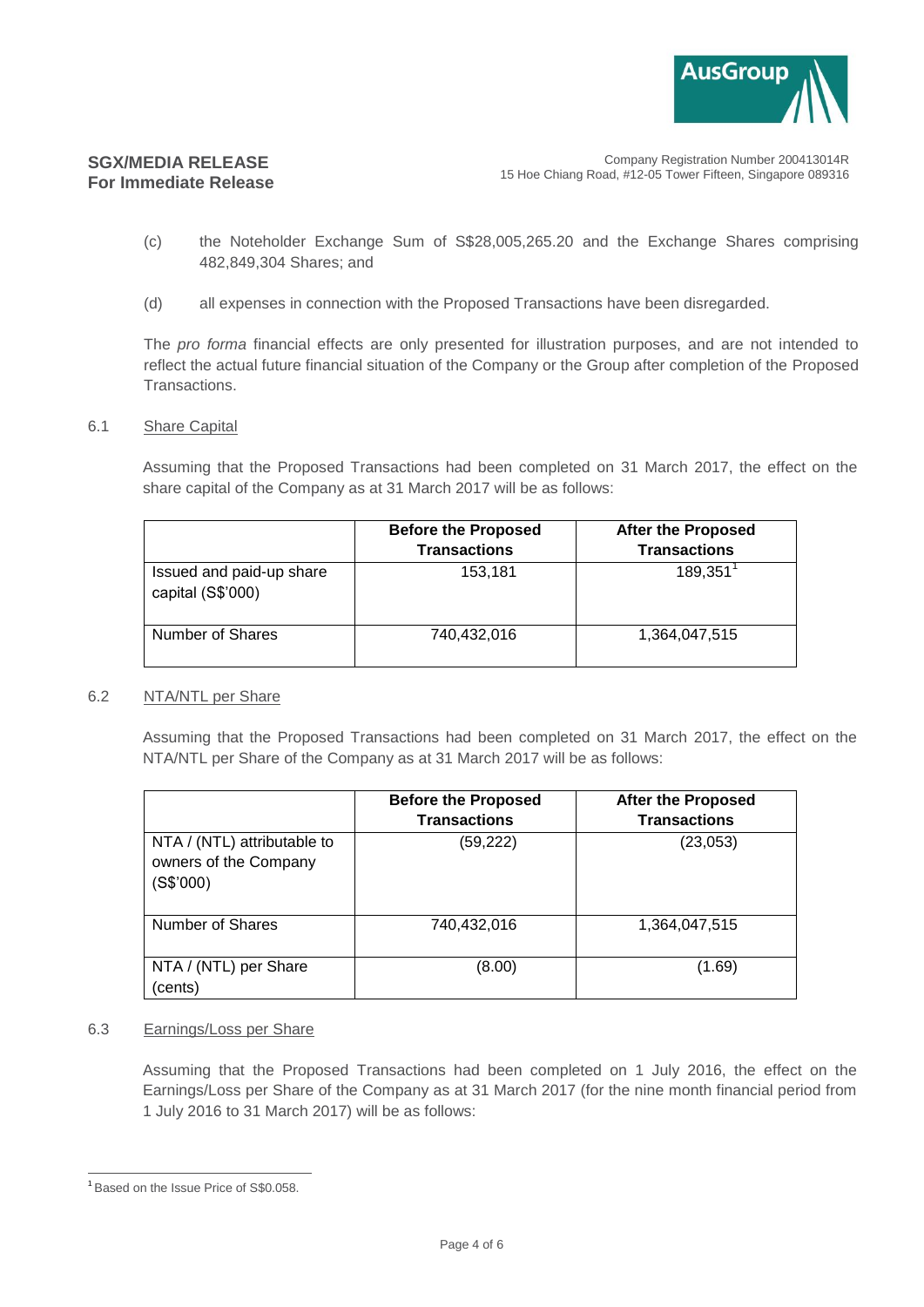

Company Registration Number 200413014R 15 Hoe Chiang Road, #12-05 Tower Fifteen, Singapore 089316

- (c) the Noteholder Exchange Sum of S\$28,005,265.20 and the Exchange Shares comprising 482,849,304 Shares; and
- (d) all expenses in connection with the Proposed Transactions have been disregarded.

The *pro forma* financial effects are only presented for illustration purposes, and are not intended to reflect the actual future financial situation of the Company or the Group after completion of the Proposed Transactions.

6.1 Share Capital

Assuming that the Proposed Transactions had been completed on 31 March 2017, the effect on the share capital of the Company as at 31 March 2017 will be as follows:

|                                               | <b>Before the Proposed</b><br><b>Transactions</b> | <b>After the Proposed</b><br><b>Transactions</b> |
|-----------------------------------------------|---------------------------------------------------|--------------------------------------------------|
| Issued and paid-up share<br>capital (S\$'000) | 153,181                                           | 189,351                                          |
| Number of Shares                              | 740,432,016                                       | 1,364,047,515                                    |

#### 6.2 NTA/NTL per Share

Assuming that the Proposed Transactions had been completed on 31 March 2017, the effect on the NTA/NTL per Share of the Company as at 31 March 2017 will be as follows:

|                                                                   | <b>Before the Proposed</b><br><b>Transactions</b> | <b>After the Proposed</b><br><b>Transactions</b> |
|-------------------------------------------------------------------|---------------------------------------------------|--------------------------------------------------|
| NTA / (NTL) attributable to<br>owners of the Company<br>(S\$'000) | (59, 222)                                         | (23,053)                                         |
| Number of Shares                                                  | 740,432,016                                       | 1,364,047,515                                    |
| NTA / (NTL) per Share<br>(cents)                                  | (8.00)                                            | (1.69)                                           |

### 6.3 Earnings/Loss per Share

Assuming that the Proposed Transactions had been completed on 1 July 2016, the effect on the Earnings/Loss per Share of the Company as at 31 March 2017 (for the nine month financial period from 1 July 2016 to 31 March 2017) will be as follows:

 $\overline{a}$ <sup>1</sup> Based on the Issue Price of S\$0.058.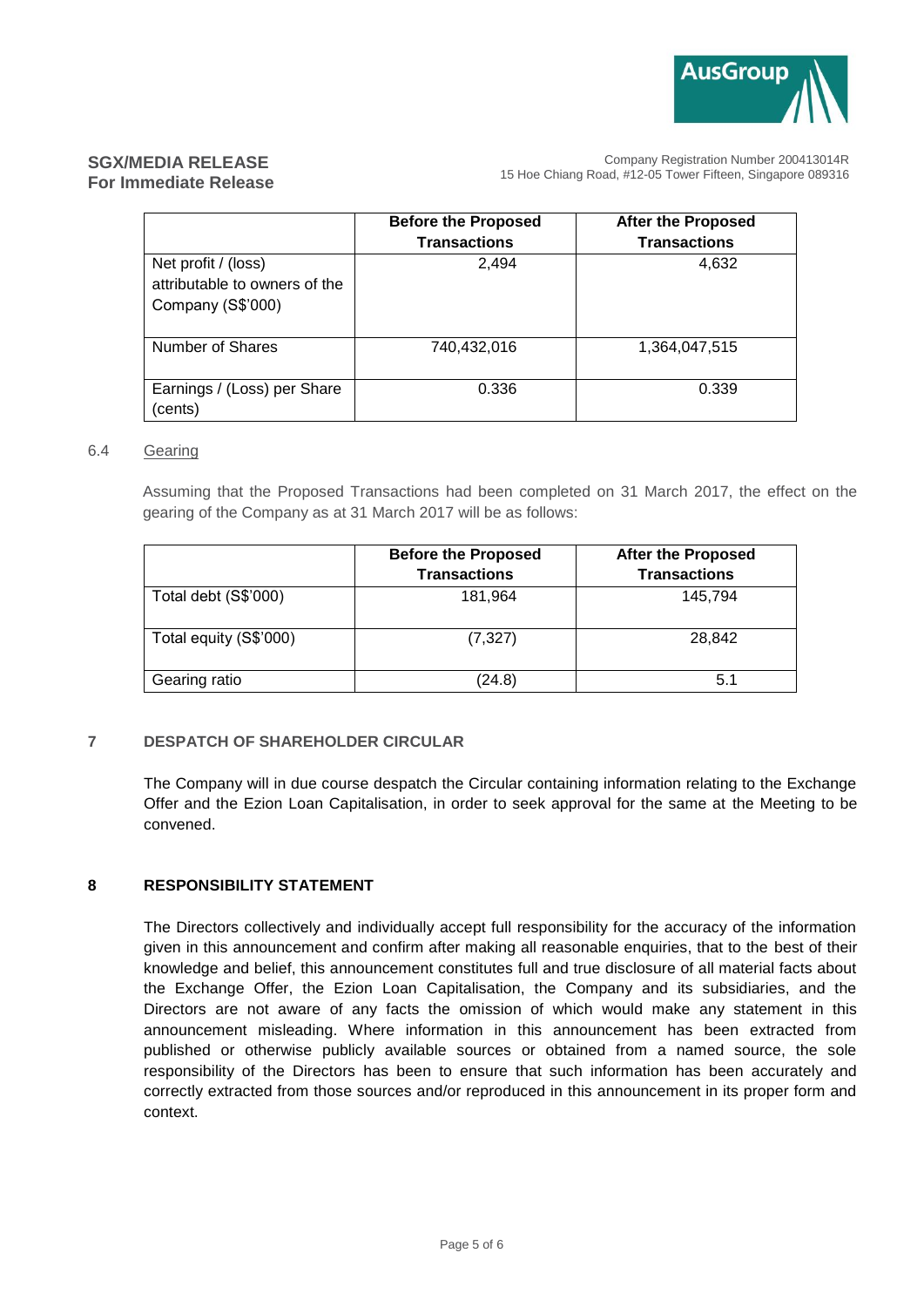

Company Registration Number 200413014R 15 Hoe Chiang Road, #12-05 Tower Fifteen, Singapore 089316

|                                                                           | <b>Before the Proposed</b><br><b>Transactions</b> | <b>After the Proposed</b><br><b>Transactions</b> |
|---------------------------------------------------------------------------|---------------------------------------------------|--------------------------------------------------|
| Net profit / (loss)<br>attributable to owners of the<br>Company (S\$'000) | 2,494                                             | 4,632                                            |
| Number of Shares                                                          | 740,432,016                                       | 1,364,047,515                                    |
| Earnings / (Loss) per Share<br>(cents)                                    | 0.336                                             | 0.339                                            |

### 6.4 Gearing

Assuming that the Proposed Transactions had been completed on 31 March 2017, the effect on the gearing of the Company as at 31 March 2017 will be as follows:

|                        | <b>Before the Proposed</b> | <b>After the Proposed</b> |
|------------------------|----------------------------|---------------------------|
|                        | <b>Transactions</b>        | <b>Transactions</b>       |
| Total debt (S\$'000)   | 181,964                    | 145.794                   |
| Total equity (S\$'000) | (7, 327)                   | 28,842                    |
| Gearing ratio          | (24.8)                     | 5.1                       |

### **7 DESPATCH OF SHAREHOLDER CIRCULAR**

The Company will in due course despatch the Circular containing information relating to the Exchange Offer and the Ezion Loan Capitalisation, in order to seek approval for the same at the Meeting to be convened.

### **8 RESPONSIBILITY STATEMENT**

The Directors collectively and individually accept full responsibility for the accuracy of the information given in this announcement and confirm after making all reasonable enquiries, that to the best of their knowledge and belief, this announcement constitutes full and true disclosure of all material facts about the Exchange Offer, the Ezion Loan Capitalisation, the Company and its subsidiaries, and the Directors are not aware of any facts the omission of which would make any statement in this announcement misleading. Where information in this announcement has been extracted from published or otherwise publicly available sources or obtained from a named source, the sole responsibility of the Directors has been to ensure that such information has been accurately and correctly extracted from those sources and/or reproduced in this announcement in its proper form and context.